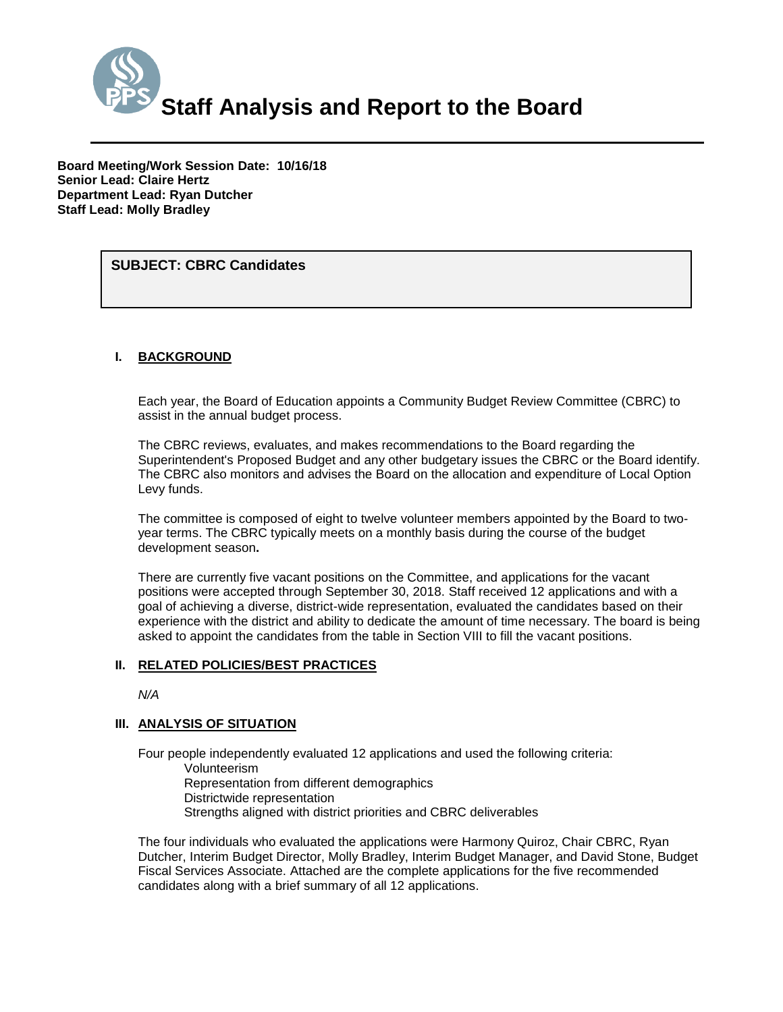

**Board Meeting/Work Session Date: 10/16/18 Senior Lead: Claire Hertz Department Lead: Ryan Dutcher Staff Lead: Molly Bradley**

*(Use this section to briefly explain the item—2-3 sentences)* **SUBJECT: CBRC Candidates**

#### **I. BACKGROUND**

Each year, the Board of Education appoints a Community Budget Review Committee (CBRC) to assist in the annual budget process.

The CBRC reviews, evaluates, and makes recommendations to the Board regarding the Superintendent's Proposed Budget and any other budgetary issues the CBRC or the Board identify. The CBRC also monitors and advises the Board on the allocation and expenditure of Local Option Levy funds.

The committee is composed of eight to twelve volunteer members appointed by the Board to twoyear terms. The CBRC typically meets on a monthly basis during the course of the budget development season**.**

There are currently five vacant positions on the Committee, and applications for the vacant positions were accepted through September 30, 2018. Staff received 12 applications and with a goal of achieving a diverse, district-wide representation, evaluated the candidates based on their experience with the district and ability to dedicate the amount of time necessary. The board is being asked to appoint the candidates from the table in Section VIII to fill the vacant positions.

#### **II. RELATED POLICIES/BEST PRACTICES**

*N/A*

#### **III. ANALYSIS OF SITUATION**

Four people independently evaluated 12 applications and used the following criteria: Volunteerism

Representation from different demographics Districtwide representation Strengths aligned with district priorities and CBRC deliverables

The four individuals who evaluated the applications were Harmony Quiroz, Chair CBRC, Ryan Dutcher, Interim Budget Director, Molly Bradley, Interim Budget Manager, and David Stone, Budget Fiscal Services Associate. Attached are the complete applications for the five recommended candidates along with a brief summary of all 12 applications.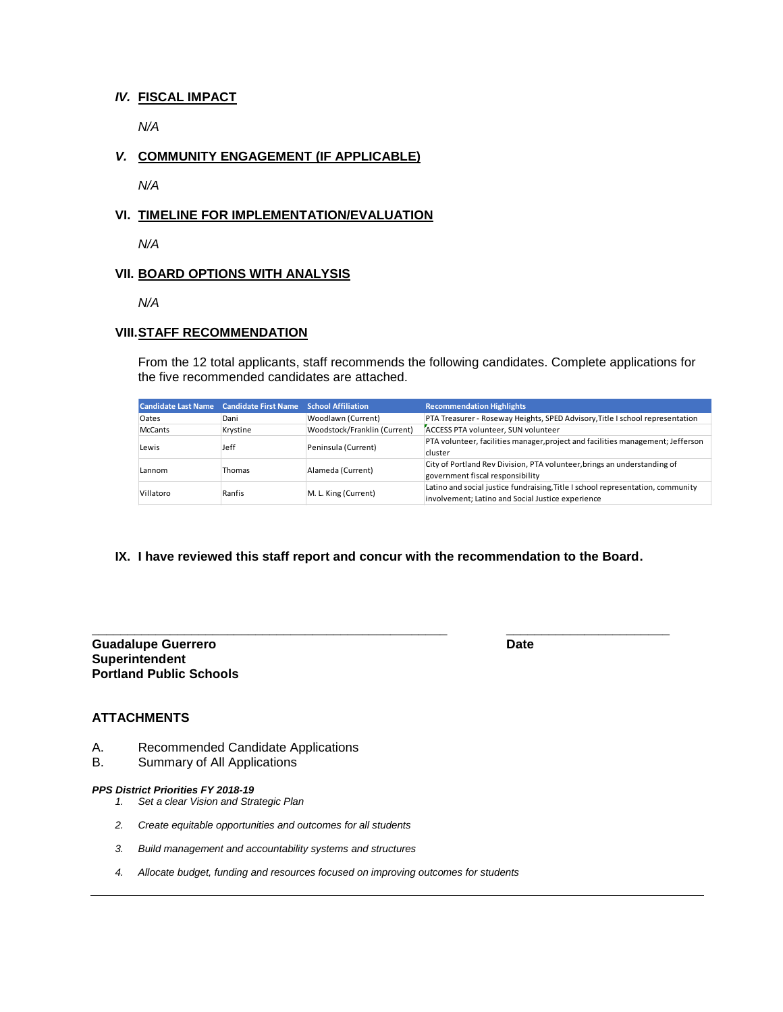#### *IV.* **FISCAL IMPACT**

*N/A*

### *V.* **COMMUNITY ENGAGEMENT (IF APPLICABLE)**

*N/A*

#### **VI. TIMELINE FOR IMPLEMENTATION/EVALUATION**

*N/A*

#### **VII. BOARD OPTIONS WITH ANALYSIS**

*N/A*

#### **VIII.STAFF RECOMMENDATION**

From the 12 total applicants, staff recommends the following candidates. Complete applications for the five recommended candidates are attached.

|                | Candidate Last Name Candidate First Name School Affiliation |                              | <b>Recommendation Highlights</b>                                                                                                     |
|----------------|-------------------------------------------------------------|------------------------------|--------------------------------------------------------------------------------------------------------------------------------------|
| Oates          | Dani                                                        | Woodlawn (Current)           | PTA Treasurer - Roseway Heights, SPED Advisory, Title I school representation                                                        |
| <b>McCants</b> | Krystine                                                    | Woodstock/Franklin (Current) | ACCESS PTA volunteer, SUN volunteer                                                                                                  |
| Lewis          | Jeff                                                        | Peninsula (Current)          | PTA volunteer, facilities manager, project and facilities management; Jefferson<br>cluster                                           |
| Lannom         | Thomas                                                      | Alameda (Current)            | City of Portland Rev Division, PTA volunteer, brings an understanding of<br>government fiscal responsibility                         |
| Villatoro      | Ranfis                                                      | M. L. King (Current)         | Latino and social justice fundraising, Title I school representation, community<br>involvement; Latino and Social Justice experience |

#### **IX. I have reviewed this staff report and concur with the recommendation to the Board.**

#### **Guadalupe Guerrero Date Superintendent Portland Public Schools**

**\_\_\_\_\_\_\_\_\_\_\_\_\_\_\_\_\_\_\_\_\_\_\_\_\_\_\_\_\_\_\_\_\_\_\_\_\_\_\_\_\_\_\_\_\_\_\_\_\_\_ \_\_\_\_\_\_\_\_\_\_\_\_\_\_\_\_\_\_\_\_\_\_\_**

### **ATTACHMENTS**

- A. Recommended Candidate Applications
- B. Summary of All Applications

#### *PPS District Priorities FY 2018-19*

- *1. Set a clear Vision and Strategic Plan*
- *2. Create equitable opportunities and outcomes for all students*
- *3. Build management and accountability systems and structures*
- *4. Allocate budget, funding and resources focused on improving outcomes for students*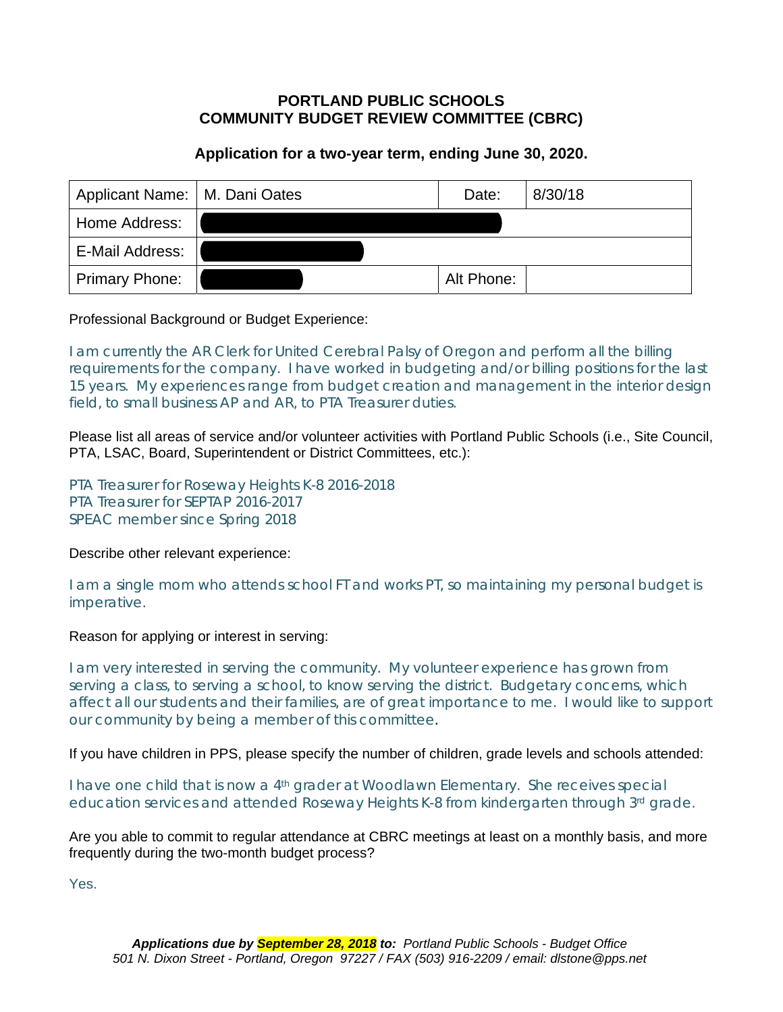# **Application for a two-year term, ending June 30, 2020.**

|                       | Applicant Name:   M. Dani Oates |            | 8/30/18 |
|-----------------------|---------------------------------|------------|---------|
| Home Address:         |                                 |            |         |
| E-Mail Address:       |                                 |            |         |
| <b>Primary Phone:</b> |                                 | Alt Phone: |         |

# Professional Background or Budget Experience:

I am currently the AR Clerk for United Cerebral Palsy of Oregon and perform all the billing requirements for the company. I have worked in budgeting and/or billing positions for the last 15 years. My experiences range from budget creation and management in the interior design field, to small business AP and AR, to PTA Treasurer duties.

Please list all areas of service and/or volunteer activities with Portland Public Schools (i.e., Site Council, PTA, LSAC, Board, Superintendent or District Committees, etc.):

PTA Treasurer for Roseway Heights K-8 2016-2018 PTA Treasurer for SEPTAP 2016-2017 SPEAC member since Spring 2018

### Describe other relevant experience:

I am a single mom who attends school FT and works PT, so maintaining my personal budget is imperative.

### Reason for applying or interest in serving:

I am very interested in serving the community. My volunteer experience has grown from serving a class, to serving a school, to know serving the district. Budgetary concerns, which affect all our students and their families, are of great importance to me. I would like to support our community by being a member of this committee.

If you have children in PPS, please specify the number of children, grade levels and schools attended:

I have one child that is now a 4<sup>th</sup> grader at Woodlawn Elementary. She receives special education services and attended Roseway Heights K-8 from kindergarten through 3<sup>rd</sup> grade.

Are you able to commit to regular attendance at CBRC meetings at least on a monthly basis, and more frequently during the two-month budget process?

Yes.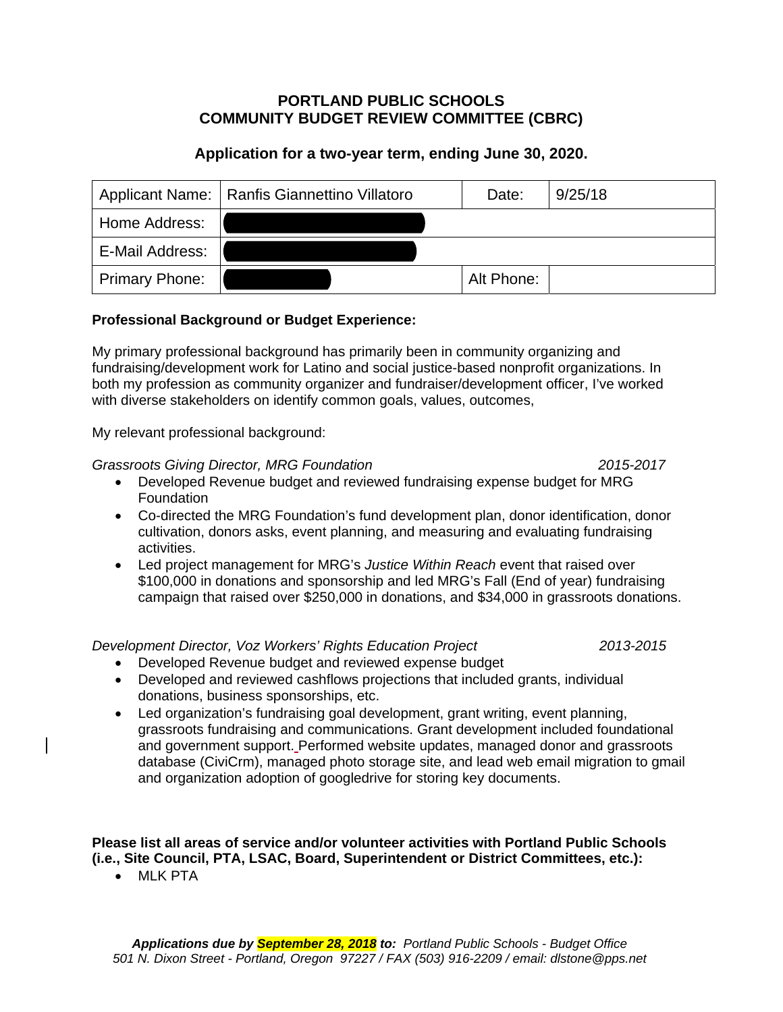# **Application for a two-year term, ending June 30, 2020.**

| Applicant Name:   Ranfis Giannettino Villatoro |  | Date:      | 9/25/18 |
|------------------------------------------------|--|------------|---------|
| Home Address:                                  |  |            |         |
| E-Mail Address:                                |  |            |         |
| <b>Primary Phone:</b>                          |  | Alt Phone: |         |

# **Professional Background or Budget Experience:**

My primary professional background has primarily been in community organizing and fundraising/development work for Latino and social justice-based nonprofit organizations. In both my profession as community organizer and fundraiser/development officer, I've worked with diverse stakeholders on identify common goals, values, outcomes,

My relevant professional background:

# *Grassroots Giving Director, MRG Foundation 2015-2017*

- Developed Revenue budget and reviewed fundraising expense budget for MRG **Foundation**
- Co-directed the MRG Foundation's fund development plan, donor identification, donor cultivation, donors asks, event planning, and measuring and evaluating fundraising activities.
- Led project management for MRG's *Justice Within Reach* event that raised over \$100,000 in donations and sponsorship and led MRG's Fall (End of year) fundraising campaign that raised over \$250,000 in donations, and \$34,000 in grassroots donations.

# *Development Director, Voz Workers' Rights Education Project 2013-2015*

- Developed Revenue budget and reviewed expense budget
- Developed and reviewed cashflows projections that included grants, individual donations, business sponsorships, etc.
- Led organization's fundraising goal development, grant writing, event planning, grassroots fundraising and communications. Grant development included foundational and government support. Performed website updates, managed donor and grassroots database (CiviCrm), managed photo storage site, and lead web email migration to gmail and organization adoption of googledrive for storing key documents.

#### **Please list all areas of service and/or volunteer activities with Portland Public Schools (i.e., Site Council, PTA, LSAC, Board, Superintendent or District Committees, etc.):**

• MLK PTA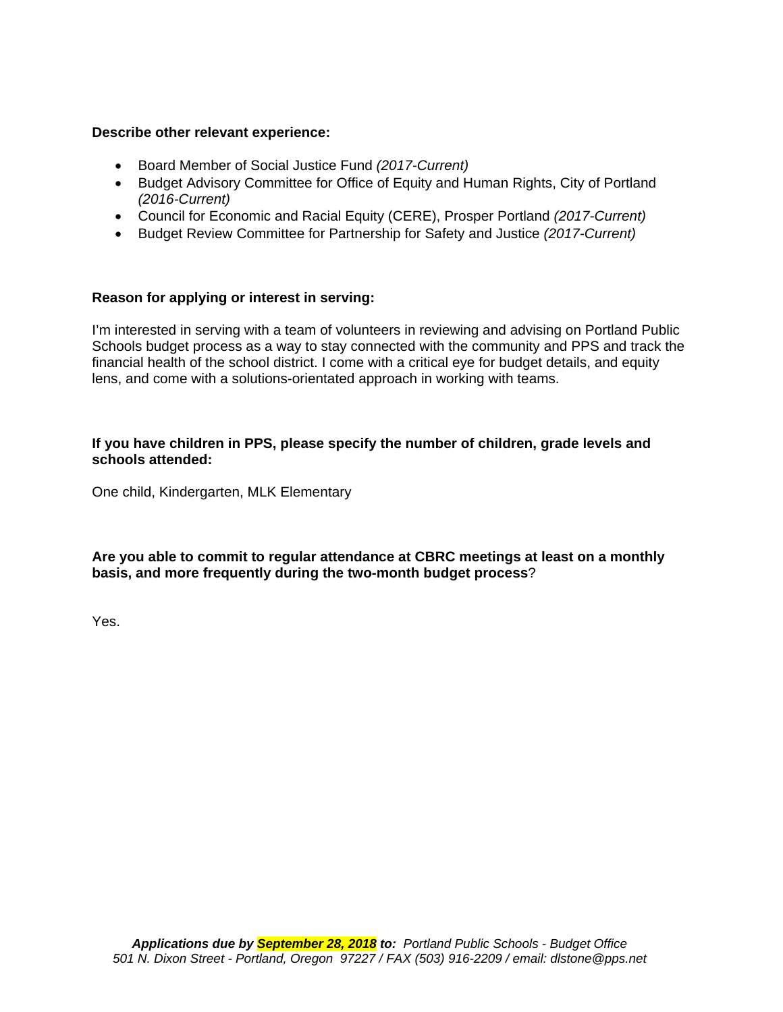### **Describe other relevant experience:**

- Board Member of Social Justice Fund *(2017-Current)*
- Budget Advisory Committee for Office of Equity and Human Rights, City of Portland *(2016-Current)*
- Council for Economic and Racial Equity (CERE), Prosper Portland *(2017-Current)*
- Budget Review Committee for Partnership for Safety and Justice *(2017-Current)*

### **Reason for applying or interest in serving:**

I'm interested in serving with a team of volunteers in reviewing and advising on Portland Public Schools budget process as a way to stay connected with the community and PPS and track the financial health of the school district. I come with a critical eye for budget details, and equity lens, and come with a solutions-orientated approach in working with teams.

### **If you have children in PPS, please specify the number of children, grade levels and schools attended:**

One child, Kindergarten, MLK Elementary

**Are you able to commit to regular attendance at CBRC meetings at least on a monthly basis, and more frequently during the two-month budget process**?

Yes.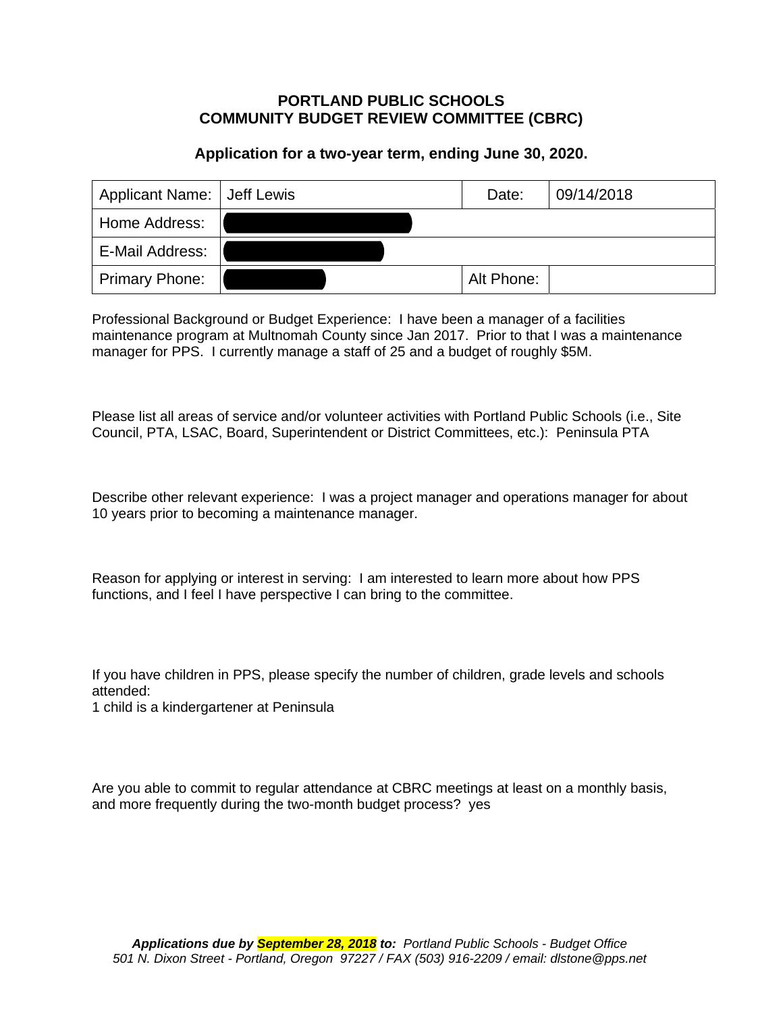# **Application for a two-year term, ending June 30, 2020.**

|                 | Applicant Name: Jeff Lewis |            | 09/14/2018 |
|-----------------|----------------------------|------------|------------|
| Home Address:   |                            |            |            |
| E-Mail Address: |                            |            |            |
| Primary Phone:  |                            | Alt Phone: |            |

Professional Background or Budget Experience: I have been a manager of a facilities maintenance program at Multnomah County since Jan 2017. Prior to that I was a maintenance manager for PPS. I currently manage a staff of 25 and a budget of roughly \$5M.

Please list all areas of service and/or volunteer activities with Portland Public Schools (i.e., Site Council, PTA, LSAC, Board, Superintendent or District Committees, etc.): Peninsula PTA

Describe other relevant experience: I was a project manager and operations manager for about 10 years prior to becoming a maintenance manager.

Reason for applying or interest in serving: I am interested to learn more about how PPS functions, and I feel I have perspective I can bring to the committee.

If you have children in PPS, please specify the number of children, grade levels and schools attended:

1 child is a kindergartener at Peninsula

Are you able to commit to regular attendance at CBRC meetings at least on a monthly basis, and more frequently during the two-month budget process? yes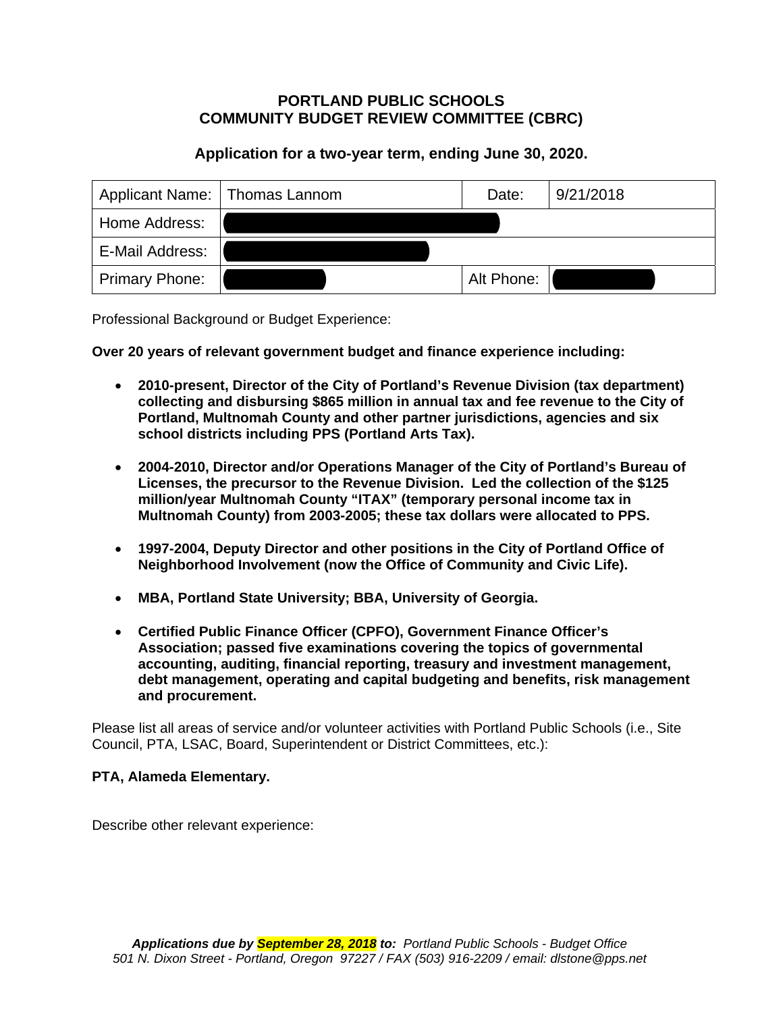# **Application for a two-year term, ending June 30, 2020.**

|                       | Applicant Name:   Thomas Lannom |            | 9/21/2018 |
|-----------------------|---------------------------------|------------|-----------|
| Home Address:         |                                 |            |           |
| E-Mail Address:       |                                 |            |           |
| <b>Primary Phone:</b> |                                 | Alt Phone: |           |

Professional Background or Budget Experience:

**Over 20 years of relevant government budget and finance experience including:** 

- **2010-present, Director of the City of Portland's Revenue Division (tax department) collecting and disbursing \$865 million in annual tax and fee revenue to the City of Portland, Multnomah County and other partner jurisdictions, agencies and six school districts including PPS (Portland Arts Tax).**
- **2004-2010, Director and/or Operations Manager of the City of Portland's Bureau of Licenses, the precursor to the Revenue Division. Led the collection of the \$125 million/year Multnomah County "ITAX" (temporary personal income tax in Multnomah County) from 2003-2005; these tax dollars were allocated to PPS.**
- **1997-2004, Deputy Director and other positions in the City of Portland Office of Neighborhood Involvement (now the Office of Community and Civic Life).**
- **MBA, Portland State University; BBA, University of Georgia.**
- **Certified Public Finance Officer (CPFO), Government Finance Officer's Association; passed five examinations covering the topics of governmental accounting, auditing, financial reporting, treasury and investment management, debt management, operating and capital budgeting and benefits, risk management and procurement.**

Please list all areas of service and/or volunteer activities with Portland Public Schools (i.e., Site Council, PTA, LSAC, Board, Superintendent or District Committees, etc.):

### **PTA, Alameda Elementary.**

Describe other relevant experience: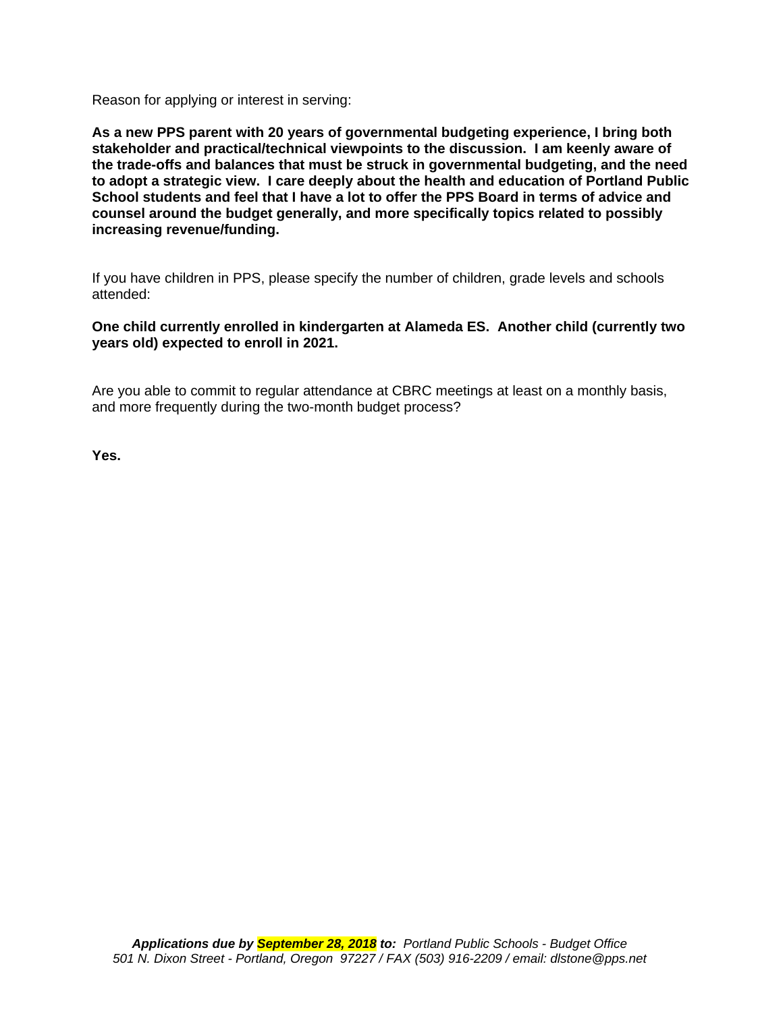Reason for applying or interest in serving:

**As a new PPS parent with 20 years of governmental budgeting experience, I bring both stakeholder and practical/technical viewpoints to the discussion. I am keenly aware of the trade-offs and balances that must be struck in governmental budgeting, and the need to adopt a strategic view. I care deeply about the health and education of Portland Public School students and feel that I have a lot to offer the PPS Board in terms of advice and counsel around the budget generally, and more specifically topics related to possibly increasing revenue/funding.** 

If you have children in PPS, please specify the number of children, grade levels and schools attended:

### **One child currently enrolled in kindergarten at Alameda ES. Another child (currently two years old) expected to enroll in 2021.**

Are you able to commit to regular attendance at CBRC meetings at least on a monthly basis, and more frequently during the two-month budget process?

**Yes.**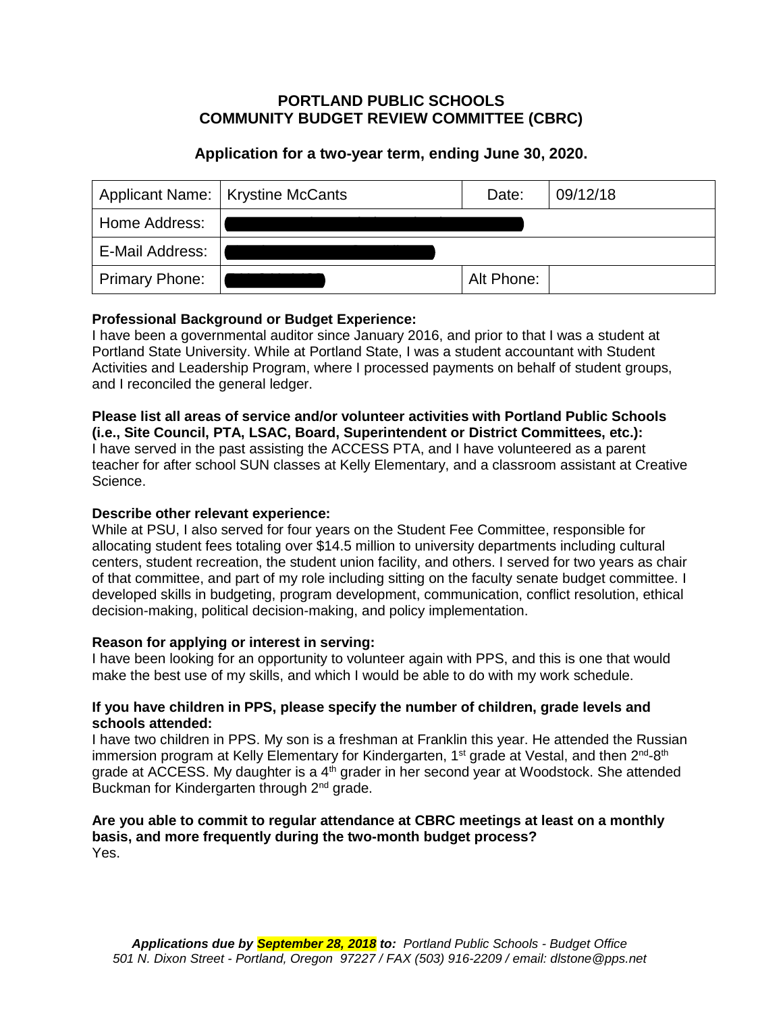# **Application for a two-year term, ending June 30, 2020.**

| Applicant Name:   Krystine McCants |  | Date:      | 09/12/18 |
|------------------------------------|--|------------|----------|
| Home Address:                      |  |            |          |
| E-Mail Address:                    |  |            |          |
| <b>Primary Phone:</b>              |  | Alt Phone: |          |

# **Professional Background or Budget Experience:**

I have been a governmental auditor since January 2016, and prior to that I was a student at Portland State University. While at Portland State, I was a student accountant with Student Activities and Leadership Program, where I processed payments on behalf of student groups, and I reconciled the general ledger.

### **Please list all areas of service and/or volunteer activities with Portland Public Schools (i.e., Site Council, PTA, LSAC, Board, Superintendent or District Committees, etc.):**

I have served in the past assisting the ACCESS PTA, and I have volunteered as a parent teacher for after school SUN classes at Kelly Elementary, and a classroom assistant at Creative Science.

### **Describe other relevant experience:**

While at PSU, I also served for four years on the Student Fee Committee, responsible for allocating student fees totaling over \$14.5 million to university departments including cultural centers, student recreation, the student union facility, and others. I served for two years as chair of that committee, and part of my role including sitting on the faculty senate budget committee. I developed skills in budgeting, program development, communication, conflict resolution, ethical decision-making, political decision-making, and policy implementation.

### **Reason for applying or interest in serving:**

I have been looking for an opportunity to volunteer again with PPS, and this is one that would make the best use of my skills, and which I would be able to do with my work schedule.

### **If you have children in PPS, please specify the number of children, grade levels and schools attended:**

I have two children in PPS. My son is a freshman at Franklin this year. He attended the Russian immersion program at Kelly Elementary for Kindergarten, 1<sup>st</sup> grade at Vestal, and then 2<sup>nd</sup>-8<sup>th</sup> grade at ACCESS. My daughter is a  $4<sup>th</sup>$  grader in her second year at Woodstock. She attended Buckman for Kindergarten through 2<sup>nd</sup> grade.

### **Are you able to commit to regular attendance at CBRC meetings at least on a monthly basis, and more frequently during the two-month budget process?**  Yes.